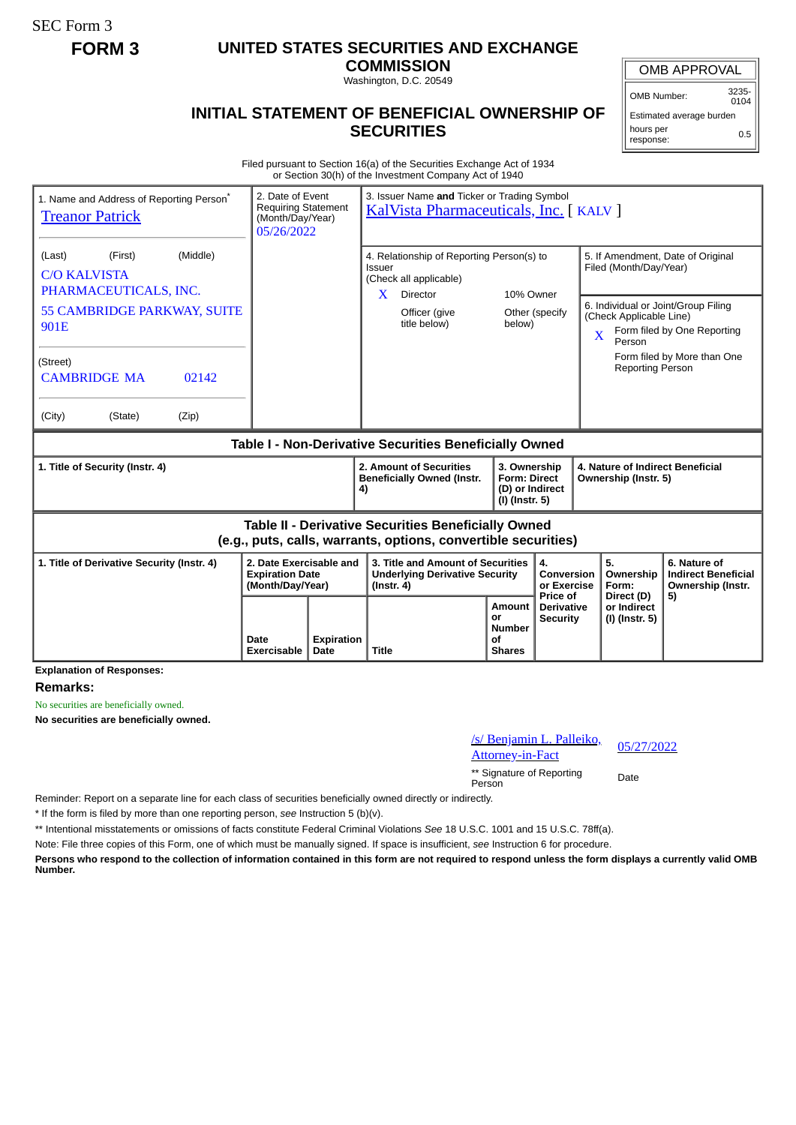SEC Form 3

## **FORM 3 UNITED STATES SECURITIES AND EXCHANGE**

**COMMISSION** Washington, D.C. 20549

## **INITIAL STATEMENT OF BENEFICIAL OWNERSHIP OF SECURITIES**

OMB APPROVAL

OMB Number: 3235-  $0104$ 

Estimated average burden hours per response: 0.5

Filed pursuant to Section 16(a) of the Securities Exchange Act of 1934 or Section 30(h) of the Investment Company Act of 1940

| 1. Name and Address of Reporting Person <sup>®</sup><br><b>Treanor Patrick</b>                                               | 2. Date of Event<br><b>Requiring Statement</b><br>(Month/Day/Year)<br>05/26/2022 |                           | 3. Issuer Name and Ticker or Trading Symbol<br>KalVista Pharmaceuticals, Inc. [KALV]           |                                                              |                                                                          |                                             |                                                                                                     |                                                                       |  |
|------------------------------------------------------------------------------------------------------------------------------|----------------------------------------------------------------------------------|---------------------------|------------------------------------------------------------------------------------------------|--------------------------------------------------------------|--------------------------------------------------------------------------|---------------------------------------------|-----------------------------------------------------------------------------------------------------|-----------------------------------------------------------------------|--|
| (Middle)<br>(Last)<br>(First)<br><b>C/O KALVISTA</b><br>PHARMACEUTICALS, INC.                                                |                                                                                  |                           | 4. Relationship of Reporting Person(s) to<br><b>Issuer</b><br>(Check all applicable)           |                                                              |                                                                          |                                             | 5. If Amendment, Date of Original<br>Filed (Month/Day/Year)                                         |                                                                       |  |
| 55 CAMBRIDGE PARKWAY, SUITE<br>901E                                                                                          |                                                                                  |                           | $\mathbf{X}$                                                                                   | Director<br>Officer (give<br>title below)                    | 10% Owner<br>below)                                                      | Other (specify                              | 6. Individual or Joint/Group Filing<br>(Check Applicable Line)<br>$\overline{\mathbf{X}}$<br>Person | Form filed by One Reporting                                           |  |
| (Street)<br><b>CAMBRIDGE MA</b><br>02142                                                                                     |                                                                                  |                           |                                                                                                |                                                              |                                                                          |                                             | <b>Reporting Person</b>                                                                             | Form filed by More than One                                           |  |
| (City)<br>(Zip)<br>(State)                                                                                                   |                                                                                  |                           |                                                                                                |                                                              |                                                                          |                                             |                                                                                                     |                                                                       |  |
| Table I - Non-Derivative Securities Beneficially Owned                                                                       |                                                                                  |                           |                                                                                                |                                                              |                                                                          |                                             |                                                                                                     |                                                                       |  |
| 1. Title of Security (Instr. 4)                                                                                              |                                                                                  |                           | 4)                                                                                             | 2. Amount of Securities<br><b>Beneficially Owned (Instr.</b> | 3. Ownership<br><b>Form: Direct</b><br>(D) or Indirect<br>(I) (Instr. 5) |                                             | 4. Nature of Indirect Beneficial<br>Ownership (Instr. 5)                                            |                                                                       |  |
| <b>Table II - Derivative Securities Beneficially Owned</b><br>(e.g., puts, calls, warrants, options, convertible securities) |                                                                                  |                           |                                                                                                |                                                              |                                                                          |                                             |                                                                                                     |                                                                       |  |
| 1. Title of Derivative Security (Instr. 4)                                                                                   | 2. Date Exercisable and<br><b>Expiration Date</b><br>(Month/Day/Year)            |                           | 3. Title and Amount of Securities<br><b>Underlying Derivative Security</b><br>$($ lnstr. 4 $)$ |                                                              |                                                                          | 4.<br>Conversion<br>or Exercise<br>Price of | 5.<br>Ownership<br>Form:<br>Direct (D)                                                              | 6. Nature of<br><b>Indirect Beneficial</b><br>Ownership (Instr.<br>5) |  |
|                                                                                                                              | Date<br>Exercisable                                                              | <b>Expiration</b><br>Date | <b>Title</b>                                                                                   |                                                              | Amount<br>0r<br><b>Number</b><br>οf<br><b>Shares</b>                     | <b>Derivative</b><br><b>Security</b>        | or Indirect<br>(I) (Instr. 5)                                                                       |                                                                       |  |

**Explanation of Responses:**

**Remarks:**

No securities are beneficially owned.

**No securities are beneficially owned.**

| /s/ Benjamin L. Palleiko, | 05/27/2022 |  |  |
|---------------------------|------------|--|--|
| Attorney-in-Fact          |            |  |  |

\*\* Signature of Reporting Person Date

Reminder: Report on a separate line for each class of securities beneficially owned directly or indirectly.

\* If the form is filed by more than one reporting person, *see* Instruction 5 (b)(v).

\*\* Intentional misstatements or omissions of facts constitute Federal Criminal Violations *See* 18 U.S.C. 1001 and 15 U.S.C. 78ff(a).

Note: File three copies of this Form, one of which must be manually signed. If space is insufficient, *see* Instruction 6 for procedure.

**Persons who respond to the collection of information contained in this form are not required to respond unless the form displays a currently valid OMB Number.**